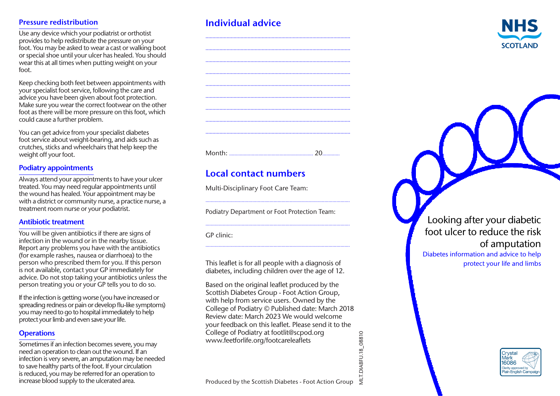## Pressure redistribution

Use any device which your podiatrist or orthotist provides to help redistribute the pressure on your foot. You may be asked to wear a cast or walking boot or special shoe until your ulcer has healed. You should wear this at all times when putting weight on your foot.

Keep checking both feet between appointments with your specialist foot service, following the care and advice you have been given about foot protection. Make sure you wear the correct footwear on the other foot as there will be more pressure on this foot, which could cause a further problem.

You can get advice from your specialist diabetes foot service about weight-bearing, and aids such as crutches, sticks and wheelchairs that help keep the weight off your foot.

## Podiatry appointments

Always attend your appointments to have your ulcer treated. You may need regular appointments until the wound has healed. Your appointment may be with a district or community nurse, a practice nurse, a treatment room nurse or your podiatrist.

## Antibiotic treatment

You will be given antibiotics if there are signs of infection in the wound or in the nearby tissue. Report any problems you have with the antibiotics (for example rashes, nausea or diarrhoea) to the person who prescribed them for you. If this person is not available, contact your GP immediately for advice. Do not stop taking your antibiotics unless the person treating you or your GP tells you to do so.

If the infection is getting worse (you have increased or spreading redness or pain or develop flu-like symptoms) you may need to go to hospital immediately to help protect your limb and even save your life.

## **Operations**

Sometimes if an infection becomes severe, you may need an operation to clean out the wound. If an infection is very severe, an amputation may be needed to save healthy parts of the foot. If your circulation is reduced, you may be referred for an operation to increase blood supply to the ulcerated area.

## Individual advice



# ....................................................................................................... Month: ……………...........................................….. 20…….......

.......................................................................................................

# Local contact numbers

Multi-Disciplinary Foot Care Team:

Podiatry Department or Foot Protection Team:

............................................................................................................

............................................................................................................

............................................................................................................

GP clinic:

This leaflet is for all people with a diagnosis of diabetes, including children over the age of 12.

Based on the original leaflet produced by the Scottish Diabetes Group - Foot Action Group, with help from service users. Owned by the College of Podiatry © Published date: March 2018 Review date: March 2023 We would welcome your feedback on this leaflet. Please send it to the College of Podiatry at footlit@scpod.org www.feetforlife.org/footcareleaflets

MLT.DIABFU.18\_08810

## Looking after your diabetic foot ulcer to reduce the risk of amputation Diabetes information and advice to help protect your life and limbs